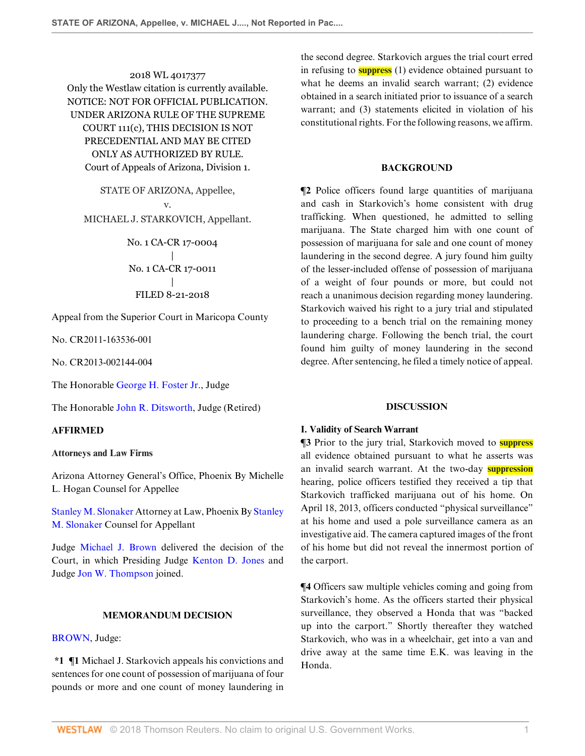2018 WL 4017377 Only the Westlaw citation is currently available. NOTICE: NOT FOR OFFICIAL PUBLICATION. UNDER ARIZONA RULE OF THE SUPREME COURT 111(c), THIS DECISION IS NOT PRECEDENTIAL AND MAY BE CITED ONLY AS AUTHORIZED BY RULE. Court of Appeals of Arizona, Division 1.

STATE OF ARIZONA, Appellee, v. MICHAEL J. STARKOVICH, Appellant.

> No. 1 CA-CR 17-0004 | No. 1 CA-CR 17-0011 | FILED 8-21-2018

Appeal from the Superior Court in Maricopa County

No. CR2011-163536-001

No. CR2013-002144-004

The Honorable [George H. Foster Jr](http://www.westlaw.com/Link/Document/FullText?findType=h&pubNum=176284&cite=0160847601&originatingDoc=Ie7c2b520a71111e89fd88bcb1944f106&refType=RQ&originationContext=document&vr=3.0&rs=cblt1.0&transitionType=DocumentItem&contextData=(sc.Search))., Judge

The Honorable [John R. Ditsworth,](http://www.westlaw.com/Link/Document/FullText?findType=h&pubNum=176284&cite=0111454201&originatingDoc=Ie7c2b520a71111e89fd88bcb1944f106&refType=RQ&originationContext=document&vr=3.0&rs=cblt1.0&transitionType=DocumentItem&contextData=(sc.Search)) Judge (Retired)

### **AFFIRMED**

#### **Attorneys and Law Firms**

Arizona Attorney General's Office, Phoenix By Michelle L. Hogan Counsel for Appellee

[Stanley M. Slonaker](http://www.westlaw.com/Link/Document/FullText?findType=h&pubNum=176284&cite=0282814201&originatingDoc=Ie7c2b520a71111e89fd88bcb1944f106&refType=RQ&originationContext=document&vr=3.0&rs=cblt1.0&transitionType=DocumentItem&contextData=(sc.Search)) Attorney at Law, Phoenix By [Stanley](http://www.westlaw.com/Link/Document/FullText?findType=h&pubNum=176284&cite=0282814201&originatingDoc=Ie7c2b520a71111e89fd88bcb1944f106&refType=RQ&originationContext=document&vr=3.0&rs=cblt1.0&transitionType=DocumentItem&contextData=(sc.Search)) [M. Slonaker](http://www.westlaw.com/Link/Document/FullText?findType=h&pubNum=176284&cite=0282814201&originatingDoc=Ie7c2b520a71111e89fd88bcb1944f106&refType=RQ&originationContext=document&vr=3.0&rs=cblt1.0&transitionType=DocumentItem&contextData=(sc.Search)) Counsel for Appellant

Judge [Michael J. Brown](http://www.westlaw.com/Link/Document/FullText?findType=h&pubNum=176284&cite=0224928301&originatingDoc=Ie7c2b520a71111e89fd88bcb1944f106&refType=RQ&originationContext=document&vr=3.0&rs=cblt1.0&transitionType=DocumentItem&contextData=(sc.Search)) delivered the decision of the Court, in which Presiding Judge [Kenton D. Jones](http://www.westlaw.com/Link/Document/FullText?findType=h&pubNum=176284&cite=0430848901&originatingDoc=Ie7c2b520a71111e89fd88bcb1944f106&refType=RQ&originationContext=document&vr=3.0&rs=cblt1.0&transitionType=DocumentItem&contextData=(sc.Search)) and Judge [Jon W. Thompson](http://www.westlaw.com/Link/Document/FullText?findType=h&pubNum=176284&cite=0180929601&originatingDoc=Ie7c2b520a71111e89fd88bcb1944f106&refType=RQ&originationContext=document&vr=3.0&rs=cblt1.0&transitionType=DocumentItem&contextData=(sc.Search)) joined.

#### **MEMORANDUM DECISION**

#### [BROWN](http://www.westlaw.com/Link/Document/FullText?findType=h&pubNum=176284&cite=0224928301&originatingDoc=Ie7c2b520a71111e89fd88bcb1944f106&refType=RQ&originationContext=document&vr=3.0&rs=cblt1.0&transitionType=DocumentItem&contextData=(sc.Search)), Judge:

**\*1 ¶1** Michael J. Starkovich appeals his convictions and sentences for one count of possession of marijuana of four pounds or more and one count of money laundering in the second degree. Starkovich argues the trial court erred in refusing to **suppress** (1) evidence obtained pursuant to what he deems an invalid search warrant; (2) evidence obtained in a search initiated prior to issuance of a search warrant; and (3) statements elicited in violation of his constitutional rights. For the following reasons, we affirm.

### **BACKGROUND**

**¶2** Police officers found large quantities of marijuana and cash in Starkovich's home consistent with drug trafficking. When questioned, he admitted to selling marijuana. The State charged him with one count of possession of marijuana for sale and one count of money laundering in the second degree. A jury found him guilty of the lesser-included offense of possession of marijuana of a weight of four pounds or more, but could not reach a unanimous decision regarding money laundering. Starkovich waived his right to a jury trial and stipulated to proceeding to a bench trial on the remaining money laundering charge. Following the bench trial, the court found him guilty of money laundering in the second degree. After sentencing, he filed a timely notice of appeal.

#### **DISCUSSION**

#### **I. Validity of Search Warrant**

**¶3** Prior to the jury trial, Starkovich moved to **suppress** all evidence obtained pursuant to what he asserts was an invalid search warrant. At the two-day **suppression** hearing, police officers testified they received a tip that Starkovich trafficked marijuana out of his home. On April 18, 2013, officers conducted "physical surveillance" at his home and used a pole surveillance camera as an investigative aid. The camera captured images of the front of his home but did not reveal the innermost portion of the carport.

**¶4** Officers saw multiple vehicles coming and going from Starkovich's home. As the officers started their physical surveillance, they observed a Honda that was "backed up into the carport." Shortly thereafter they watched Starkovich, who was in a wheelchair, get into a van and drive away at the same time E.K. was leaving in the Honda.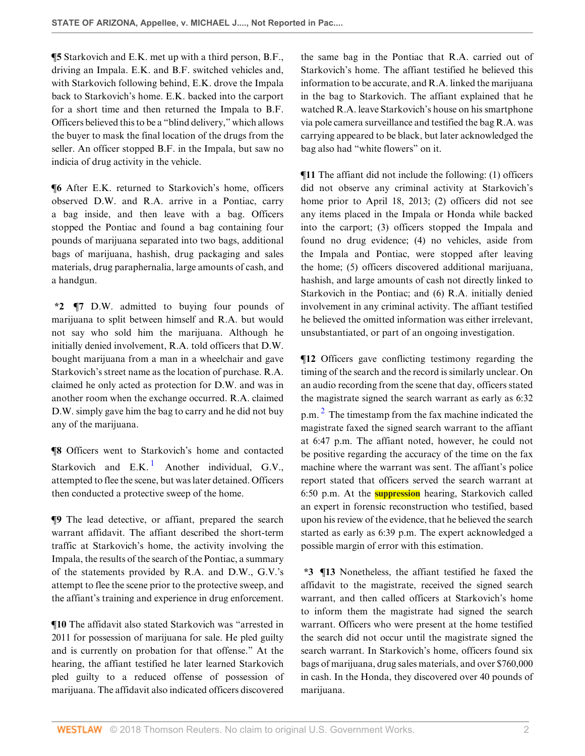**¶5** Starkovich and E.K. met up with a third person, B.F., driving an Impala. E.K. and B.F. switched vehicles and, with Starkovich following behind, E.K. drove the Impala back to Starkovich's home. E.K. backed into the carport for a short time and then returned the Impala to B.F. Officers believed this to be a "blind delivery," which allows the buyer to mask the final location of the drugs from the seller. An officer stopped B.F. in the Impala, but saw no indicia of drug activity in the vehicle.

**¶6** After E.K. returned to Starkovich's home, officers observed D.W. and R.A. arrive in a Pontiac, carry a bag inside, and then leave with a bag. Officers stopped the Pontiac and found a bag containing four pounds of marijuana separated into two bags, additional bags of marijuana, hashish, drug packaging and sales materials, drug paraphernalia, large amounts of cash, and a handgun.

**\*2 ¶7** D.W. admitted to buying four pounds of marijuana to split between himself and R.A. but would not say who sold him the marijuana. Although he initially denied involvement, R.A. told officers that D.W. bought marijuana from a man in a wheelchair and gave Starkovich's street name as the location of purchase. R.A. claimed he only acted as protection for D.W. and was in another room when the exchange occurred. R.A. claimed D.W. simply gave him the bag to carry and he did not buy any of the marijuana.

<span id="page-1-0"></span>**¶8** Officers went to Starkovich's home and contacted Starkovich and  $E.K.<sup>1</sup>$  $E.K.<sup>1</sup>$  $E.K.<sup>1</sup>$  Another individual, G.V., attempted to flee the scene, but was later detained. Officers then conducted a protective sweep of the home.

**¶9** The lead detective, or affiant, prepared the search warrant affidavit. The affiant described the short-term traffic at Starkovich's home, the activity involving the Impala, the results of the search of the Pontiac, a summary of the statements provided by R.A. and D.W., G.V.'s attempt to flee the scene prior to the protective sweep, and the affiant's training and experience in drug enforcement.

**¶10** The affidavit also stated Starkovich was "arrested in 2011 for possession of marijuana for sale. He pled guilty and is currently on probation for that offense." At the hearing, the affiant testified he later learned Starkovich pled guilty to a reduced offense of possession of marijuana. The affidavit also indicated officers discovered

the same bag in the Pontiac that R.A. carried out of Starkovich's home. The affiant testified he believed this information to be accurate, and R.A. linked the marijuana in the bag to Starkovich. The affiant explained that he watched R.A. leave Starkovich's house on his smartphone via pole camera surveillance and testified the bag R.A. was carrying appeared to be black, but later acknowledged the bag also had "white flowers" on it.

**¶11** The affiant did not include the following: (1) officers did not observe any criminal activity at Starkovich's home prior to April 18, 2013; (2) officers did not see any items placed in the Impala or Honda while backed into the carport; (3) officers stopped the Impala and found no drug evidence; (4) no vehicles, aside from the Impala and Pontiac, were stopped after leaving the home; (5) officers discovered additional marijuana, hashish, and large amounts of cash not directly linked to Starkovich in the Pontiac; and (6) R.A. initially denied involvement in any criminal activity. The affiant testified he believed the omitted information was either irrelevant, unsubstantiated, or part of an ongoing investigation.

<span id="page-1-1"></span>**¶12** Officers gave conflicting testimony regarding the timing of the search and the record is similarly unclear. On an audio recording from the scene that day, officers stated the magistrate signed the search warrant as early as 6:32 p.m.  $2$  The timestamp from the fax machine indicated the magistrate faxed the signed search warrant to the affiant at 6:47 p.m. The affiant noted, however, he could not be positive regarding the accuracy of the time on the fax machine where the warrant was sent. The affiant's police report stated that officers served the search warrant at 6:50 p.m. At the **suppression** hearing, Starkovich called an expert in forensic reconstruction who testified, based upon his review of the evidence, that he believed the search started as early as 6:39 p.m. The expert acknowledged a possible margin of error with this estimation.

**\*3 ¶13** Nonetheless, the affiant testified he faxed the affidavit to the magistrate, received the signed search warrant, and then called officers at Starkovich's home to inform them the magistrate had signed the search warrant. Officers who were present at the home testified the search did not occur until the magistrate signed the search warrant. In Starkovich's home, officers found six bags of marijuana, drug sales materials, and over \$760,000 in cash. In the Honda, they discovered over 40 pounds of marijuana.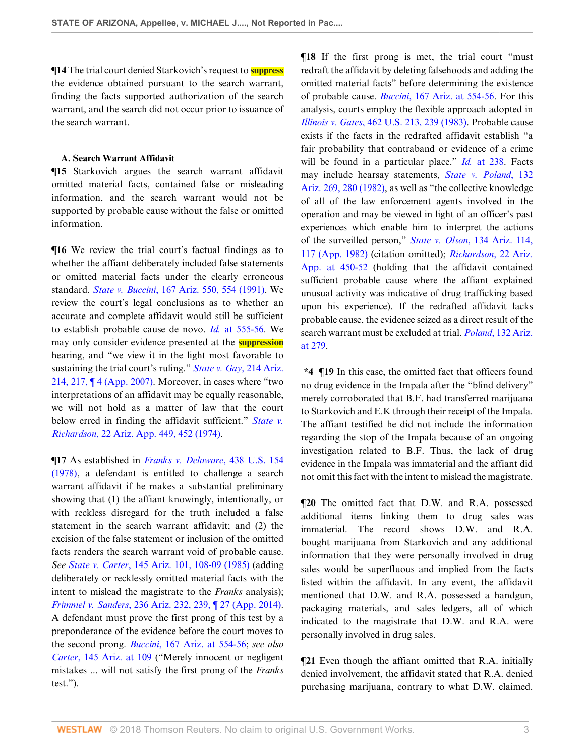**¶14** The trial court denied Starkovich's request to **suppress** the evidence obtained pursuant to the search warrant, finding the facts supported authorization of the search warrant, and the search did not occur prior to issuance of the search warrant.

#### **A. Search Warrant Affidavit**

**¶15** Starkovich argues the search warrant affidavit omitted material facts, contained false or misleading information, and the search warrant would not be supported by probable cause without the false or omitted information.

**¶16** We review the trial court's factual findings as to whether the affiant deliberately included false statements or omitted material facts under the clearly erroneous standard. *State v. Buccini*[, 167 Ariz. 550, 554 \(1991\).](http://www.westlaw.com/Link/Document/FullText?findType=Y&serNum=1991088857&pubNum=0000156&originatingDoc=Ie7c2b520a71111e89fd88bcb1944f106&refType=RP&fi=co_pp_sp_156_554&originationContext=document&vr=3.0&rs=cblt1.0&transitionType=DocumentItem&contextData=(sc.Search)#co_pp_sp_156_554) We review the court's legal conclusions as to whether an accurate and complete affidavit would still be sufficient to establish probable cause de novo. *Id.* [at 555-56.](http://www.westlaw.com/Link/Document/FullText?findType=Y&serNum=1991088857&pubNum=0000156&originatingDoc=Ie7c2b520a71111e89fd88bcb1944f106&refType=RP&fi=co_pp_sp_156_555&originationContext=document&vr=3.0&rs=cblt1.0&transitionType=DocumentItem&contextData=(sc.Search)#co_pp_sp_156_555) We may only consider evidence presented at the **suppression** hearing, and "we view it in the light most favorable to sustaining the trial court's ruling." *[State v. Gay](http://www.westlaw.com/Link/Document/FullText?findType=Y&serNum=2011254335&pubNum=0000156&originatingDoc=Ie7c2b520a71111e89fd88bcb1944f106&refType=RP&fi=co_pp_sp_156_217&originationContext=document&vr=3.0&rs=cblt1.0&transitionType=DocumentItem&contextData=(sc.Search)#co_pp_sp_156_217)*, 214 Ariz. [214, 217, ¶ 4 \(App. 2007\)](http://www.westlaw.com/Link/Document/FullText?findType=Y&serNum=2011254335&pubNum=0000156&originatingDoc=Ie7c2b520a71111e89fd88bcb1944f106&refType=RP&fi=co_pp_sp_156_217&originationContext=document&vr=3.0&rs=cblt1.0&transitionType=DocumentItem&contextData=(sc.Search)#co_pp_sp_156_217). Moreover, in cases where "two interpretations of an affidavit may be equally reasonable, we will not hold as a matter of law that the court below erred in finding the affidavit sufficient." *[State v.](http://www.westlaw.com/Link/Document/FullText?findType=Y&serNum=1974126334&pubNum=0000157&originatingDoc=Ie7c2b520a71111e89fd88bcb1944f106&refType=RP&fi=co_pp_sp_157_452&originationContext=document&vr=3.0&rs=cblt1.0&transitionType=DocumentItem&contextData=(sc.Search)#co_pp_sp_157_452) Richardson*[, 22 Ariz. App. 449, 452 \(1974\).](http://www.westlaw.com/Link/Document/FullText?findType=Y&serNum=1974126334&pubNum=0000157&originatingDoc=Ie7c2b520a71111e89fd88bcb1944f106&refType=RP&fi=co_pp_sp_157_452&originationContext=document&vr=3.0&rs=cblt1.0&transitionType=DocumentItem&contextData=(sc.Search)#co_pp_sp_157_452)

**¶17** As established in *[Franks v. Delaware](http://www.westlaw.com/Link/Document/FullText?findType=Y&serNum=1978139504&pubNum=0000780&originatingDoc=Ie7c2b520a71111e89fd88bcb1944f106&refType=RP&originationContext=document&vr=3.0&rs=cblt1.0&transitionType=DocumentItem&contextData=(sc.Search))*, 438 U.S. 154 [\(1978\),](http://www.westlaw.com/Link/Document/FullText?findType=Y&serNum=1978139504&pubNum=0000780&originatingDoc=Ie7c2b520a71111e89fd88bcb1944f106&refType=RP&originationContext=document&vr=3.0&rs=cblt1.0&transitionType=DocumentItem&contextData=(sc.Search)) a defendant is entitled to challenge a search warrant affidavit if he makes a substantial preliminary showing that (1) the affiant knowingly, intentionally, or with reckless disregard for the truth included a false statement in the search warrant affidavit; and (2) the excision of the false statement or inclusion of the omitted facts renders the search warrant void of probable cause. *See State v. Carter*[, 145 Ariz. 101, 108-09 \(1985\)](http://www.westlaw.com/Link/Document/FullText?findType=Y&serNum=1985126540&pubNum=0000156&originatingDoc=Ie7c2b520a71111e89fd88bcb1944f106&refType=RP&fi=co_pp_sp_156_108&originationContext=document&vr=3.0&rs=cblt1.0&transitionType=DocumentItem&contextData=(sc.Search)#co_pp_sp_156_108) (adding deliberately or recklessly omitted material facts with the intent to mislead the magistrate to the *Franks* analysis); *Frimmel v. Sanders*[, 236 Ariz. 232, 239, ¶ 27 \(App. 2014\)](http://www.westlaw.com/Link/Document/FullText?findType=Y&serNum=2034872622&pubNum=0000156&originatingDoc=Ie7c2b520a71111e89fd88bcb1944f106&refType=RP&fi=co_pp_sp_156_239&originationContext=document&vr=3.0&rs=cblt1.0&transitionType=DocumentItem&contextData=(sc.Search)#co_pp_sp_156_239). A defendant must prove the first prong of this test by a preponderance of the evidence before the court moves to the second prong. *Buccini*[, 167 Ariz. at 554-56;](http://www.westlaw.com/Link/Document/FullText?findType=Y&serNum=1991088857&pubNum=0000156&originatingDoc=Ie7c2b520a71111e89fd88bcb1944f106&refType=RP&fi=co_pp_sp_156_554&originationContext=document&vr=3.0&rs=cblt1.0&transitionType=DocumentItem&contextData=(sc.Search)#co_pp_sp_156_554) *see also Carter*[, 145 Ariz. at 109](http://www.westlaw.com/Link/Document/FullText?findType=Y&serNum=1985126540&pubNum=0000156&originatingDoc=Ie7c2b520a71111e89fd88bcb1944f106&refType=RP&fi=co_pp_sp_156_109&originationContext=document&vr=3.0&rs=cblt1.0&transitionType=DocumentItem&contextData=(sc.Search)#co_pp_sp_156_109) ("Merely innocent or negligent mistakes ... will not satisfy the first prong of the *Franks* test.").

**¶18** If the first prong is met, the trial court "must redraft the affidavit by deleting falsehoods and adding the omitted material facts" before determining the existence of probable cause. *Buccini*[, 167 Ariz. at 554-56](http://www.westlaw.com/Link/Document/FullText?findType=Y&serNum=1991088857&pubNum=0000156&originatingDoc=Ie7c2b520a71111e89fd88bcb1944f106&refType=RP&fi=co_pp_sp_156_554&originationContext=document&vr=3.0&rs=cblt1.0&transitionType=DocumentItem&contextData=(sc.Search)#co_pp_sp_156_554). For this analysis, courts employ the flexible approach adopted in *Illinois v. Gates*[, 462 U.S. 213, 239 \(1983\).](http://www.westlaw.com/Link/Document/FullText?findType=Y&serNum=1983126672&pubNum=0000780&originatingDoc=Ie7c2b520a71111e89fd88bcb1944f106&refType=RP&fi=co_pp_sp_780_239&originationContext=document&vr=3.0&rs=cblt1.0&transitionType=DocumentItem&contextData=(sc.Search)#co_pp_sp_780_239) Probable cause exists if the facts in the redrafted affidavit establish "a fair probability that contraband or evidence of a crime will be found in a particular place." *Id.* [at 238](http://www.westlaw.com/Link/Document/FullText?findType=Y&serNum=1983126672&pubNum=0000780&originatingDoc=Ie7c2b520a71111e89fd88bcb1944f106&refType=RP&fi=co_pp_sp_780_238&originationContext=document&vr=3.0&rs=cblt1.0&transitionType=DocumentItem&contextData=(sc.Search)#co_pp_sp_780_238). Facts may include hearsay statements, *[State v. Poland](http://www.westlaw.com/Link/Document/FullText?findType=Y&serNum=1982124091&pubNum=0000156&originatingDoc=Ie7c2b520a71111e89fd88bcb1944f106&refType=RP&fi=co_pp_sp_156_280&originationContext=document&vr=3.0&rs=cblt1.0&transitionType=DocumentItem&contextData=(sc.Search)#co_pp_sp_156_280)*, 132 [Ariz. 269, 280 \(1982\),](http://www.westlaw.com/Link/Document/FullText?findType=Y&serNum=1982124091&pubNum=0000156&originatingDoc=Ie7c2b520a71111e89fd88bcb1944f106&refType=RP&fi=co_pp_sp_156_280&originationContext=document&vr=3.0&rs=cblt1.0&transitionType=DocumentItem&contextData=(sc.Search)#co_pp_sp_156_280) as well as "the collective knowledge of all of the law enforcement agents involved in the operation and may be viewed in light of an officer's past experiences which enable him to interpret the actions of the surveilled person," *State v. Olson*[, 134 Ariz. 114,](http://www.westlaw.com/Link/Document/FullText?findType=Y&serNum=1982151995&pubNum=0000156&originatingDoc=Ie7c2b520a71111e89fd88bcb1944f106&refType=RP&fi=co_pp_sp_156_117&originationContext=document&vr=3.0&rs=cblt1.0&transitionType=DocumentItem&contextData=(sc.Search)#co_pp_sp_156_117) [117 \(App. 1982\)](http://www.westlaw.com/Link/Document/FullText?findType=Y&serNum=1982151995&pubNum=0000156&originatingDoc=Ie7c2b520a71111e89fd88bcb1944f106&refType=RP&fi=co_pp_sp_156_117&originationContext=document&vr=3.0&rs=cblt1.0&transitionType=DocumentItem&contextData=(sc.Search)#co_pp_sp_156_117) (citation omitted); *[Richardson](http://www.westlaw.com/Link/Document/FullText?findType=Y&serNum=1974126334&pubNum=0000157&originatingDoc=Ie7c2b520a71111e89fd88bcb1944f106&refType=RP&fi=co_pp_sp_157_450&originationContext=document&vr=3.0&rs=cblt1.0&transitionType=DocumentItem&contextData=(sc.Search)#co_pp_sp_157_450)*, 22 Ariz. [App. at 450-52](http://www.westlaw.com/Link/Document/FullText?findType=Y&serNum=1974126334&pubNum=0000157&originatingDoc=Ie7c2b520a71111e89fd88bcb1944f106&refType=RP&fi=co_pp_sp_157_450&originationContext=document&vr=3.0&rs=cblt1.0&transitionType=DocumentItem&contextData=(sc.Search)#co_pp_sp_157_450) (holding that the affidavit contained sufficient probable cause where the affiant explained unusual activity was indicative of drug trafficking based upon his experience). If the redrafted affidavit lacks probable cause, the evidence seized as a direct result of the search warrant must be excluded at trial. *Poland*[, 132 Ariz.](http://www.westlaw.com/Link/Document/FullText?findType=Y&serNum=1982124091&pubNum=0000156&originatingDoc=Ie7c2b520a71111e89fd88bcb1944f106&refType=RP&fi=co_pp_sp_156_279&originationContext=document&vr=3.0&rs=cblt1.0&transitionType=DocumentItem&contextData=(sc.Search)#co_pp_sp_156_279) [at 279.](http://www.westlaw.com/Link/Document/FullText?findType=Y&serNum=1982124091&pubNum=0000156&originatingDoc=Ie7c2b520a71111e89fd88bcb1944f106&refType=RP&fi=co_pp_sp_156_279&originationContext=document&vr=3.0&rs=cblt1.0&transitionType=DocumentItem&contextData=(sc.Search)#co_pp_sp_156_279)

**\*4 ¶19** In this case, the omitted fact that officers found no drug evidence in the Impala after the "blind delivery" merely corroborated that B.F. had transferred marijuana to Starkovich and E.K through their receipt of the Impala. The affiant testified he did not include the information regarding the stop of the Impala because of an ongoing investigation related to B.F. Thus, the lack of drug evidence in the Impala was immaterial and the affiant did not omit this fact with the intent to mislead the magistrate.

**¶20** The omitted fact that D.W. and R.A. possessed additional items linking them to drug sales was immaterial. The record shows D.W. and R.A. bought marijuana from Starkovich and any additional information that they were personally involved in drug sales would be superfluous and implied from the facts listed within the affidavit. In any event, the affidavit mentioned that D.W. and R.A. possessed a handgun, packaging materials, and sales ledgers, all of which indicated to the magistrate that D.W. and R.A. were personally involved in drug sales.

**¶21** Even though the affiant omitted that R.A. initially denied involvement, the affidavit stated that R.A. denied purchasing marijuana, contrary to what D.W. claimed.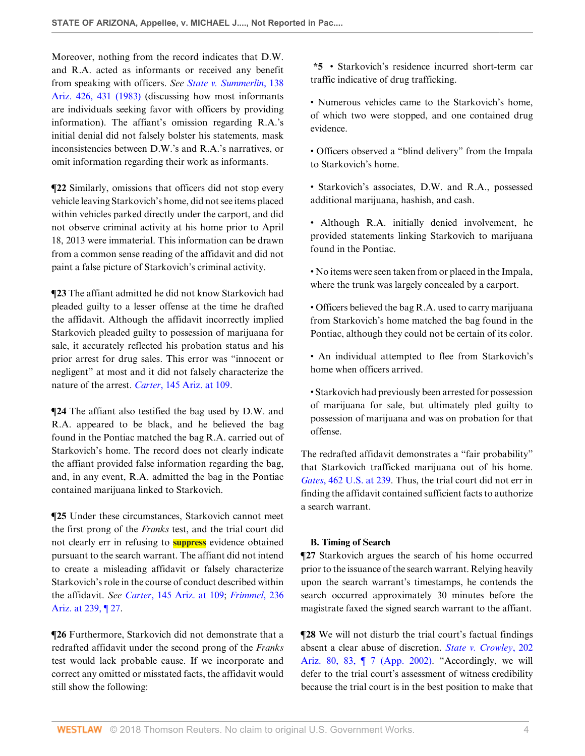Moreover, nothing from the record indicates that D.W. and R.A. acted as informants or received any benefit from speaking with officers. *See [State v. Summerlin](http://www.westlaw.com/Link/Document/FullText?findType=Y&serNum=1984104000&pubNum=0000156&originatingDoc=Ie7c2b520a71111e89fd88bcb1944f106&refType=RP&fi=co_pp_sp_156_431&originationContext=document&vr=3.0&rs=cblt1.0&transitionType=DocumentItem&contextData=(sc.Search)#co_pp_sp_156_431)*, 138 [Ariz. 426, 431 \(1983\)](http://www.westlaw.com/Link/Document/FullText?findType=Y&serNum=1984104000&pubNum=0000156&originatingDoc=Ie7c2b520a71111e89fd88bcb1944f106&refType=RP&fi=co_pp_sp_156_431&originationContext=document&vr=3.0&rs=cblt1.0&transitionType=DocumentItem&contextData=(sc.Search)#co_pp_sp_156_431) (discussing how most informants are individuals seeking favor with officers by providing information). The affiant's omission regarding R.A.'s initial denial did not falsely bolster his statements, mask inconsistencies between D.W.'s and R.A.'s narratives, or omit information regarding their work as informants.

**¶22** Similarly, omissions that officers did not stop every vehicle leaving Starkovich's home, did not see items placed within vehicles parked directly under the carport, and did not observe criminal activity at his home prior to April 18, 2013 were immaterial. This information can be drawn from a common sense reading of the affidavit and did not paint a false picture of Starkovich's criminal activity.

**¶23** The affiant admitted he did not know Starkovich had pleaded guilty to a lesser offense at the time he drafted the affidavit. Although the affidavit incorrectly implied Starkovich pleaded guilty to possession of marijuana for sale, it accurately reflected his probation status and his prior arrest for drug sales. This error was "innocent or negligent" at most and it did not falsely characterize the nature of the arrest. *Carter*[, 145 Ariz. at 109.](http://www.westlaw.com/Link/Document/FullText?findType=Y&serNum=1985126540&pubNum=0000156&originatingDoc=Ie7c2b520a71111e89fd88bcb1944f106&refType=RP&fi=co_pp_sp_156_109&originationContext=document&vr=3.0&rs=cblt1.0&transitionType=DocumentItem&contextData=(sc.Search)#co_pp_sp_156_109)

**¶24** The affiant also testified the bag used by D.W. and R.A. appeared to be black, and he believed the bag found in the Pontiac matched the bag R.A. carried out of Starkovich's home. The record does not clearly indicate the affiant provided false information regarding the bag, and, in any event, R.A. admitted the bag in the Pontiac contained marijuana linked to Starkovich.

**¶25** Under these circumstances, Starkovich cannot meet the first prong of the *Franks* test, and the trial court did not clearly err in refusing to **suppress** evidence obtained pursuant to the search warrant. The affiant did not intend to create a misleading affidavit or falsely characterize Starkovich's role in the course of conduct described within the affidavit. *See Carter*[, 145 Ariz. at 109;](http://www.westlaw.com/Link/Document/FullText?findType=Y&serNum=1985126540&pubNum=0000156&originatingDoc=Ie7c2b520a71111e89fd88bcb1944f106&refType=RP&fi=co_pp_sp_156_109&originationContext=document&vr=3.0&rs=cblt1.0&transitionType=DocumentItem&contextData=(sc.Search)#co_pp_sp_156_109) *[Frimmel](http://www.westlaw.com/Link/Document/FullText?findType=Y&serNum=2034872622&pubNum=0000156&originatingDoc=Ie7c2b520a71111e89fd88bcb1944f106&refType=RP&fi=co_pp_sp_156_239&originationContext=document&vr=3.0&rs=cblt1.0&transitionType=DocumentItem&contextData=(sc.Search)#co_pp_sp_156_239)*, 236 [Ariz. at 239, ¶ 27.](http://www.westlaw.com/Link/Document/FullText?findType=Y&serNum=2034872622&pubNum=0000156&originatingDoc=Ie7c2b520a71111e89fd88bcb1944f106&refType=RP&fi=co_pp_sp_156_239&originationContext=document&vr=3.0&rs=cblt1.0&transitionType=DocumentItem&contextData=(sc.Search)#co_pp_sp_156_239)

**¶26** Furthermore, Starkovich did not demonstrate that a redrafted affidavit under the second prong of the *Franks* test would lack probable cause. If we incorporate and correct any omitted or misstated facts, the affidavit would still show the following:

**\*5** • Starkovich's residence incurred short-term car traffic indicative of drug trafficking.

• Numerous vehicles came to the Starkovich's home, of which two were stopped, and one contained drug evidence.

• Officers observed a "blind delivery" from the Impala to Starkovich's home.

• Starkovich's associates, D.W. and R.A., possessed additional marijuana, hashish, and cash.

• Although R.A. initially denied involvement, he provided statements linking Starkovich to marijuana found in the Pontiac.

• No items were seen taken from or placed in the Impala, where the trunk was largely concealed by a carport.

• Officers believed the bag R.A. used to carry marijuana from Starkovich's home matched the bag found in the Pontiac, although they could not be certain of its color.

• An individual attempted to flee from Starkovich's home when officers arrived.

• Starkovich had previously been arrested for possession of marijuana for sale, but ultimately pled guilty to possession of marijuana and was on probation for that offense.

The redrafted affidavit demonstrates a "fair probability" that Starkovich trafficked marijuana out of his home. *Gates*[, 462 U.S. at 239](http://www.westlaw.com/Link/Document/FullText?findType=Y&serNum=1983126672&pubNum=0000780&originatingDoc=Ie7c2b520a71111e89fd88bcb1944f106&refType=RP&fi=co_pp_sp_780_239&originationContext=document&vr=3.0&rs=cblt1.0&transitionType=DocumentItem&contextData=(sc.Search)#co_pp_sp_780_239). Thus, the trial court did not err in finding the affidavit contained sufficient facts to authorize a search warrant.

# **B. Timing of Search**

**¶27** Starkovich argues the search of his home occurred prior to the issuance of the search warrant. Relying heavily upon the search warrant's timestamps, he contends the search occurred approximately 30 minutes before the magistrate faxed the signed search warrant to the affiant.

**¶28** We will not disturb the trial court's factual findings absent a clear abuse of discretion. *[State v. Crowley](http://www.westlaw.com/Link/Document/FullText?findType=Y&serNum=2002140212&pubNum=0000156&originatingDoc=Ie7c2b520a71111e89fd88bcb1944f106&refType=RP&fi=co_pp_sp_156_83&originationContext=document&vr=3.0&rs=cblt1.0&transitionType=DocumentItem&contextData=(sc.Search)#co_pp_sp_156_83)*, 202 [Ariz. 80, 83, ¶ 7 \(App. 2002\)](http://www.westlaw.com/Link/Document/FullText?findType=Y&serNum=2002140212&pubNum=0000156&originatingDoc=Ie7c2b520a71111e89fd88bcb1944f106&refType=RP&fi=co_pp_sp_156_83&originationContext=document&vr=3.0&rs=cblt1.0&transitionType=DocumentItem&contextData=(sc.Search)#co_pp_sp_156_83). "Accordingly, we will defer to the trial court's assessment of witness credibility because the trial court is in the best position to make that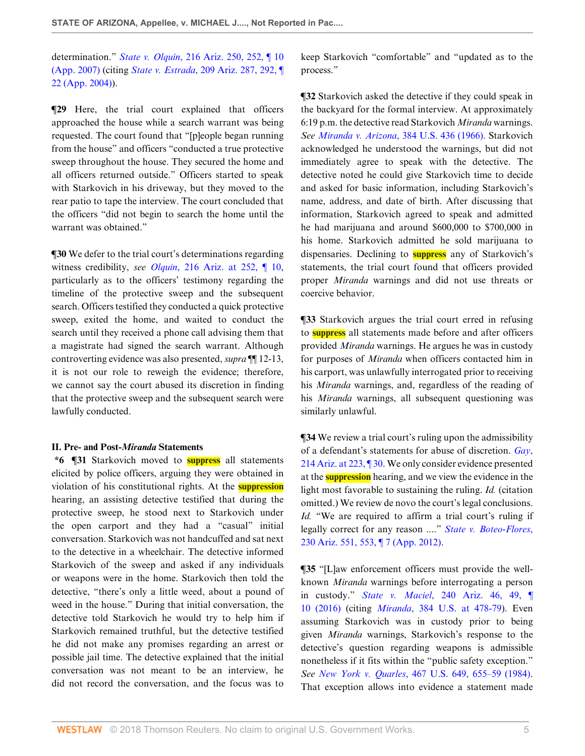determination." *State v. Olquin*[, 216 Ariz. 250, 252, ¶ 10](http://www.westlaw.com/Link/Document/FullText?findType=Y&serNum=2012954818&pubNum=0000156&originatingDoc=Ie7c2b520a71111e89fd88bcb1944f106&refType=RP&fi=co_pp_sp_156_252&originationContext=document&vr=3.0&rs=cblt1.0&transitionType=DocumentItem&contextData=(sc.Search)#co_pp_sp_156_252) [\(App. 2007\)](http://www.westlaw.com/Link/Document/FullText?findType=Y&serNum=2012954818&pubNum=0000156&originatingDoc=Ie7c2b520a71111e89fd88bcb1944f106&refType=RP&fi=co_pp_sp_156_252&originationContext=document&vr=3.0&rs=cblt1.0&transitionType=DocumentItem&contextData=(sc.Search)#co_pp_sp_156_252) (citing *State v. Estrada*[, 209 Ariz. 287, 292, ¶](http://www.westlaw.com/Link/Document/FullText?findType=Y&serNum=2005451831&pubNum=0000156&originatingDoc=Ie7c2b520a71111e89fd88bcb1944f106&refType=RP&fi=co_pp_sp_156_292&originationContext=document&vr=3.0&rs=cblt1.0&transitionType=DocumentItem&contextData=(sc.Search)#co_pp_sp_156_292) [22 \(App. 2004\)](http://www.westlaw.com/Link/Document/FullText?findType=Y&serNum=2005451831&pubNum=0000156&originatingDoc=Ie7c2b520a71111e89fd88bcb1944f106&refType=RP&fi=co_pp_sp_156_292&originationContext=document&vr=3.0&rs=cblt1.0&transitionType=DocumentItem&contextData=(sc.Search)#co_pp_sp_156_292)).

**¶29** Here, the trial court explained that officers approached the house while a search warrant was being requested. The court found that "[p]eople began running from the house" and officers "conducted a true protective sweep throughout the house. They secured the home and all officers returned outside." Officers started to speak with Starkovich in his driveway, but they moved to the rear patio to tape the interview. The court concluded that the officers "did not begin to search the home until the warrant was obtained."

**¶30** We defer to the trial court's determinations regarding witness credibility, *see Olquin*[, 216 Ariz. at 252, ¶ 10](http://www.westlaw.com/Link/Document/FullText?findType=Y&serNum=2012954818&pubNum=0000156&originatingDoc=Ie7c2b520a71111e89fd88bcb1944f106&refType=RP&fi=co_pp_sp_156_252&originationContext=document&vr=3.0&rs=cblt1.0&transitionType=DocumentItem&contextData=(sc.Search)#co_pp_sp_156_252), particularly as to the officers' testimony regarding the timeline of the protective sweep and the subsequent search. Officers testified they conducted a quick protective sweep, exited the home, and waited to conduct the search until they received a phone call advising them that a magistrate had signed the search warrant. Although controverting evidence was also presented, *supra* ¶¶ 12-13, it is not our role to reweigh the evidence; therefore, we cannot say the court abused its discretion in finding that the protective sweep and the subsequent search were lawfully conducted.

### **II. Pre- and Post-***Miranda* **Statements**

**\*6 ¶31** Starkovich moved to **suppress** all statements elicited by police officers, arguing they were obtained in violation of his constitutional rights. At the **suppression** hearing, an assisting detective testified that during the protective sweep, he stood next to Starkovich under the open carport and they had a "casual" initial conversation. Starkovich was not handcuffed and sat next to the detective in a wheelchair. The detective informed Starkovich of the sweep and asked if any individuals or weapons were in the home. Starkovich then told the detective, "there's only a little weed, about a pound of weed in the house." During that initial conversation, the detective told Starkovich he would try to help him if Starkovich remained truthful, but the detective testified he did not make any promises regarding an arrest or possible jail time. The detective explained that the initial conversation was not meant to be an interview, he did not record the conversation, and the focus was to

keep Starkovich "comfortable" and "updated as to the process."

**¶32** Starkovich asked the detective if they could speak in the backyard for the formal interview. At approximately 6:19 p.m. the detective read Starkovich *Miranda* warnings. *See Miranda v. Arizona*[, 384 U.S. 436 \(1966\).](http://www.westlaw.com/Link/Document/FullText?findType=Y&serNum=1966131580&pubNum=0000780&originatingDoc=Ie7c2b520a71111e89fd88bcb1944f106&refType=RP&originationContext=document&vr=3.0&rs=cblt1.0&transitionType=DocumentItem&contextData=(sc.Search)) Starkovich acknowledged he understood the warnings, but did not immediately agree to speak with the detective. The detective noted he could give Starkovich time to decide and asked for basic information, including Starkovich's name, address, and date of birth. After discussing that information, Starkovich agreed to speak and admitted he had marijuana and around \$600,000 to \$700,000 in his home. Starkovich admitted he sold marijuana to dispensaries. Declining to **suppress** any of Starkovich's statements, the trial court found that officers provided proper *Miranda* warnings and did not use threats or coercive behavior.

**¶33** Starkovich argues the trial court erred in refusing to **suppress** all statements made before and after officers provided *Miranda* warnings. He argues he was in custody for purposes of *Miranda* when officers contacted him in his carport, was unlawfully interrogated prior to receiving his *Miranda* warnings, and, regardless of the reading of his *Miranda* warnings, all subsequent questioning was similarly unlawful.

 $\P$ **34** We review a trial court's ruling upon the admissibility of a defendant's statements for abuse of discretion. *[Gay](http://www.westlaw.com/Link/Document/FullText?findType=Y&serNum=2011254335&pubNum=0000156&originatingDoc=Ie7c2b520a71111e89fd88bcb1944f106&refType=RP&fi=co_pp_sp_156_223&originationContext=document&vr=3.0&rs=cblt1.0&transitionType=DocumentItem&contextData=(sc.Search)#co_pp_sp_156_223)*, [214 Ariz. at 223, ¶ 30.](http://www.westlaw.com/Link/Document/FullText?findType=Y&serNum=2011254335&pubNum=0000156&originatingDoc=Ie7c2b520a71111e89fd88bcb1944f106&refType=RP&fi=co_pp_sp_156_223&originationContext=document&vr=3.0&rs=cblt1.0&transitionType=DocumentItem&contextData=(sc.Search)#co_pp_sp_156_223) We only consider evidence presented at the **suppression** hearing, and we view the evidence in the light most favorable to sustaining the ruling. *Id.* (citation omitted.) We review de novo the court's legal conclusions. *Id.* "We are required to affirm a trial court's ruling if legally correct for any reason ...." *[State v. Boteo-Flores](http://www.westlaw.com/Link/Document/FullText?findType=Y&serNum=2029177595&pubNum=0000156&originatingDoc=Ie7c2b520a71111e89fd88bcb1944f106&refType=RP&fi=co_pp_sp_156_553&originationContext=document&vr=3.0&rs=cblt1.0&transitionType=DocumentItem&contextData=(sc.Search)#co_pp_sp_156_553)*, [230 Ariz. 551, 553, ¶ 7 \(App. 2012\).](http://www.westlaw.com/Link/Document/FullText?findType=Y&serNum=2029177595&pubNum=0000156&originatingDoc=Ie7c2b520a71111e89fd88bcb1944f106&refType=RP&fi=co_pp_sp_156_553&originationContext=document&vr=3.0&rs=cblt1.0&transitionType=DocumentItem&contextData=(sc.Search)#co_pp_sp_156_553)

**¶35** "[L]aw enforcement officers must provide the wellknown *Miranda* warnings before interrogating a person in custody." *State v. Maciel*[, 240 Ariz. 46, 49, ¶](http://www.westlaw.com/Link/Document/FullText?findType=Y&serNum=2039465101&pubNum=0000156&originatingDoc=Ie7c2b520a71111e89fd88bcb1944f106&refType=RP&fi=co_pp_sp_156_49&originationContext=document&vr=3.0&rs=cblt1.0&transitionType=DocumentItem&contextData=(sc.Search)#co_pp_sp_156_49) [10 \(2016\)](http://www.westlaw.com/Link/Document/FullText?findType=Y&serNum=2039465101&pubNum=0000156&originatingDoc=Ie7c2b520a71111e89fd88bcb1944f106&refType=RP&fi=co_pp_sp_156_49&originationContext=document&vr=3.0&rs=cblt1.0&transitionType=DocumentItem&contextData=(sc.Search)#co_pp_sp_156_49) (citing *Miranda*[, 384 U.S. at 478-79](http://www.westlaw.com/Link/Document/FullText?findType=Y&serNum=1966131580&pubNum=0000780&originatingDoc=Ie7c2b520a71111e89fd88bcb1944f106&refType=RP&fi=co_pp_sp_780_478&originationContext=document&vr=3.0&rs=cblt1.0&transitionType=DocumentItem&contextData=(sc.Search)#co_pp_sp_780_478)). Even assuming Starkovich was in custody prior to being given *Miranda* warnings, Starkovich's response to the detective's question regarding weapons is admissible nonetheless if it fits within the "public safety exception." *See New York v. Quarles*[, 467 U.S. 649, 655–59 \(1984\)](http://www.westlaw.com/Link/Document/FullText?findType=Y&serNum=1984128416&pubNum=0000780&originatingDoc=Ie7c2b520a71111e89fd88bcb1944f106&refType=RP&fi=co_pp_sp_780_655&originationContext=document&vr=3.0&rs=cblt1.0&transitionType=DocumentItem&contextData=(sc.Search)#co_pp_sp_780_655). That exception allows into evidence a statement made